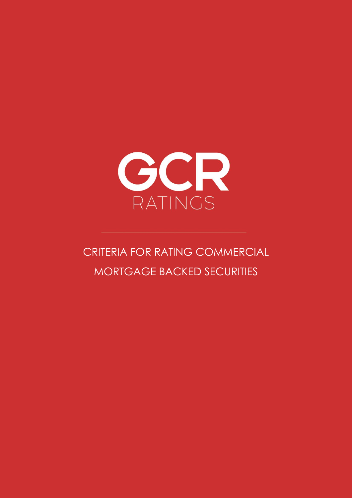

# CRITERIA FOR RATING COMMERCIAL MORTGAGE BACKED SECURITIES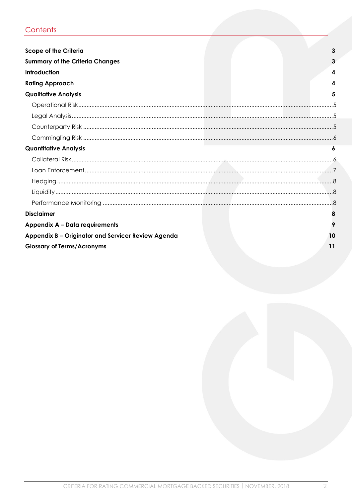# Contents

| <b>Scope of the Criteria</b>                       | 3  |
|----------------------------------------------------|----|
| <b>Summary of the Criteria Changes</b>             |    |
| Introduction                                       | 4  |
| <b>Rating Approach</b>                             | 4  |
| <b>Qualitative Analysis</b>                        |    |
|                                                    |    |
|                                                    |    |
|                                                    |    |
|                                                    |    |
| <b>Quantitative Analysis</b>                       |    |
|                                                    |    |
|                                                    |    |
|                                                    |    |
|                                                    |    |
|                                                    |    |
| <b>Disclaimer</b>                                  |    |
| Appendix A - Data requirements                     |    |
| Appendix B - Originator and Servicer Review Agenda | 10 |
| <b>Glossary of Terms/Acronyms</b>                  | 11 |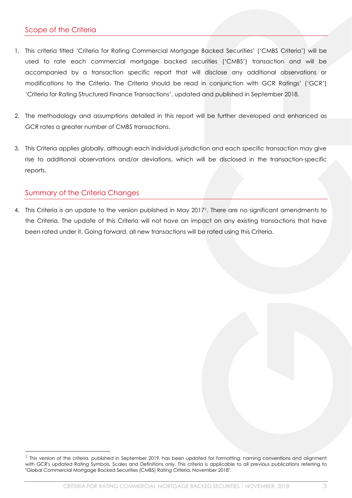# <span id="page-2-0"></span>Scope of the Criteria

- 1. This criteria titled 'Criteria for Rating Commercial Mortgage Backed Securities' ('CMBS Criteria') will be used to rate each commercial mortgage backed securities ('CMBS') transaction and will be accompanied by a transaction specific report that will disclose any additional observations or modifications to the Criteria. The Criteria should be read in conjunction with GCR Ratings' ('GCR') 'Criteria for Rating Structured Finance Transactions', updated and published in September 2018.
- 2. The methodology and assumptions detailed in this report will be further developed and enhanced as GCR rates a greater number of CMBS transactions.
- 3. This Criteria applies globally, although each individual jurisdiction and each specific transaction may give rise to additional observations and/or deviations, which will be disclosed in the transaction-specific reports.

## <span id="page-2-1"></span>Summary of the Criteria Changes

4. This Criteria is an update to the version published in May 2017<sup>1</sup>. There are no significant amendments to the Criteria. The update of this Criteria will not have an impact on any existing transactions that have been rated under it. Going forward, all new transactions will be rated using this Criteria.

<sup>&</sup>lt;sup>1</sup> This version of the criteria, published in September 2019, has been updated for formatting, naming conventions and alignment with GCR's updated Rating Symbols, Scales and Definitions only. This criteria is applicable to all previous publications referring to "Global Commercial Mortgage Backed Securities (CMBS) Rating Criteria, November 2018".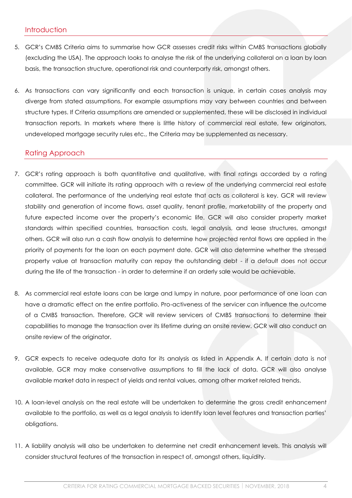#### <span id="page-3-0"></span>Introduction

- 5. GCR's CMBS Criteria aims to summarise how GCR assesses credit risks within CMBS transactions globally (excluding the USA). The approach looks to analyse the risk of the underlying collateral on a loan by loan basis, the transaction structure, operational risk and counterparty risk, amongst others.
- 6. As transactions can vary significantly and each transaction is unique, in certain cases analysis may diverge from stated assumptions. For example assumptions may vary between countries and between structure types. If Criteria assumptions are amended or supplemented, these will be disclosed in individual transaction reports. In markets where there is little history of commercial real estate, few originators, undeveloped mortgage security rules etc., the Criteria may be supplemented as necessary.

#### <span id="page-3-1"></span>Rating Approach

- 7. GCR's rating approach is both quantitative and qualitative, with final ratings accorded by a rating committee. GCR will initiate its rating approach with a review of the underlying commercial real estate collateral. The performance of the underlying real estate that acts as collateral is key. GCR will review stability and generation of income flows, asset quality, tenant profile, marketability of the property and future expected income over the property's economic life. GCR will also consider property market standards within specified countries, transaction costs, legal analysis, and lease structures, amongst others. GCR will also run a cash flow analysis to determine how projected rental flows are applied in the priority of payments for the loan on each payment date. GCR will also determine whether the stressed property value at transaction maturity can repay the outstanding debt - if a default does not occur during the life of the transaction - in order to determine if an orderly sale would be achievable.
- 8. As commercial real estate loans can be large and lumpy in nature, poor performance of one loan can have a dramatic effect on the entire portfolio. Pro-activeness of the servicer can influence the outcome of a CMBS transaction. Therefore, GCR will review servicers of CMBS transactions to determine their capabilities to manage the transaction over its lifetime during an onsite review. GCR will also conduct an onsite review of the originator.
- 9. GCR expects to receive adequate data for its analysis as listed in Appendix A. If certain data is not available, GCR may make conservative assumptions to fill the lack of data. GCR will also analyse available market data in respect of yields and rental values, among other market related trends.
- 10. A loan-level analysis on the real estate will be undertaken to determine the gross credit enhancement available to the portfolio, as well as a legal analysis to identify loan level features and transaction parties' obligations.
- 11. A liability analysis will also be undertaken to determine net credit enhancement levels. This analysis will consider structural features of the transaction in respect of, amongst others, liquidity.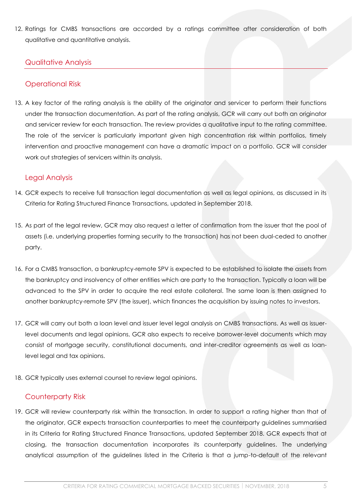12. Ratings for CMBS transactions are accorded by a ratings committee after consideration of both qualitative and quantitative analysis.

#### <span id="page-4-0"></span>Qualitative Analysis

#### <span id="page-4-1"></span>Operational Risk

13. A key factor of the rating analysis is the ability of the originator and servicer to perform their functions under the transaction documentation. As part of the rating analysis, GCR will carry out both an originator and servicer review for each transaction. The review provides a qualitative input to the rating committee. The role of the servicer is particularly important given high concentration risk within portfolios, timely intervention and proactive management can have a dramatic impact on a portfolio. GCR will consider work out strategies of servicers within its analysis.

#### <span id="page-4-2"></span>Legal Analysis

- 14. GCR expects to receive full transaction legal documentation as well as legal opinions, as discussed in its Criteria for Rating Structured Finance Transactions, updated in September 2018.
- 15. As part of the legal review, GCR may also request a letter of confirmation from the issuer that the pool of assets (i.e. underlying properties forming security to the transaction) has not been dual-ceded to another party.
- 16. For a CMBS transaction, a bankruptcy-remote SPV is expected to be established to isolate the assets from the bankruptcy and insolvency of other entities which are party to the transaction. Typically a loan will be advanced to the SPV in order to acquire the real estate collateral. The same loan is then assigned to another bankruptcy-remote SPV (the issuer), which finances the acquisition by issuing notes to investors.
- 17. GCR will carry out both a loan level and issuer level legal analysis on CMBS transactions. As well as issuerlevel documents and legal opinions, GCR also expects to receive borrower-level documents which may consist of mortgage security, constitutional documents, and inter-creditor agreements as well as loanlevel legal and tax opinions.
- 18. GCR typically uses external counsel to review legal opinions.

# <span id="page-4-3"></span>Counterparty Risk

19. GCR will review counterparty risk within the transaction. In order to support a rating higher than that of the originator, GCR expects transaction counterparties to meet the counterparty guidelines summarised in its Criteria for Rating Structured Finance Transactions, updated September 2018. GCR expects that at closing, the transaction documentation incorporates its counterparty guidelines. The underlying analytical assumption of the guidelines listed in the Criteria is that a jump-to-default of the relevant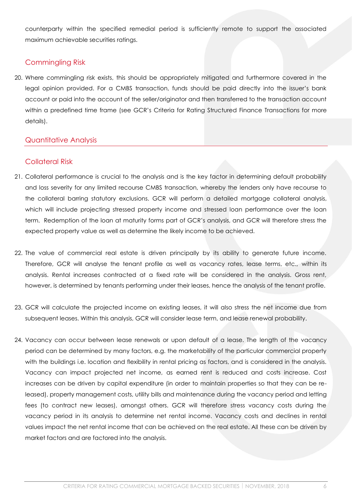counterparty within the specified remedial period is sufficiently remote to support the associated maximum achievable securities ratings.

# <span id="page-5-0"></span>Commingling Risk

20. Where commingling risk exists, this should be appropriately mitigated and furthermore covered in the legal opinion provided. For a CMBS transaction, funds should be paid directly into the issuer's bank account or paid into the account of the seller/originator and then transferred to the transaction account within a predefined time frame (see GCR's Criteria for Rating Structured Finance Transactions for more details).

# <span id="page-5-1"></span>Quantitative Analysis

# <span id="page-5-2"></span>Collateral Risk

- 21. Collateral performance is crucial to the analysis and is the key factor in determining default probability and loss severity for any limited recourse CMBS transaction, whereby the lenders only have recourse to the collateral barring statutory exclusions. GCR will perform a detailed mortgage collateral analysis, which will include projecting stressed property income and stressed loan performance over the loan term. Redemption of the loan at maturity forms part of GCR's analysis, and GCR will therefore stress the expected property value as well as determine the likely income to be achieved.
- 22. The value of commercial real estate is driven principally by its ability to generate future income. Therefore, GCR will analyse the tenant profile as well as vacancy rates, lease terms, etc., within its analysis. Rental increases contracted at a fixed rate will be considered in the analysis. Gross rent, however, is determined by tenants performing under their leases, hence the analysis of the tenant profile.
- 23. GCR will calculate the projected income on existing leases, it will also stress the net income due from subsequent leases. Within this analysis, GCR will consider lease term, and lease renewal probability.
- 24. Vacancy can occur between lease renewals or upon default of a lease. The length of the vacancy period can be determined by many factors, e.g. the marketability of the particular commercial property with the buildings i.e. location and flexibility in rental pricing as factors, and is considered in the analysis. Vacancy can impact projected net income, as earned rent is reduced and costs increase. Cost increases can be driven by capital expenditure (in order to maintain properties so that they can be released), property management costs, utility bills and maintenance during the vacancy period and letting fees (to contract new leases), amongst others. GCR will therefore stress vacancy costs during the vacancy period in its analysis to determine net rental income. Vacancy costs and declines in rental values impact the net rental income that can be achieved on the real estate. All these can be driven by market factors and are factored into the analysis.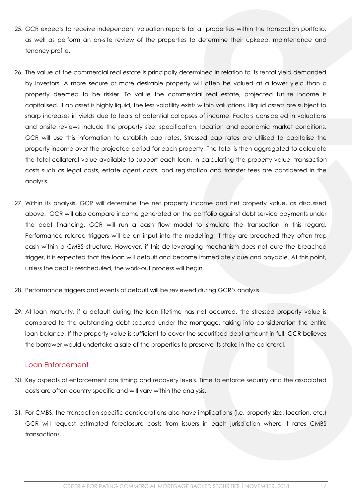- 25. GCR expects to receive independent valuation reports for all properties within the transaction portfolio, as well as perform an on-site review of the properties to determine their upkeep, maintenance and tenancy profile.
- 26. The value of the commercial real estate is principally determined in relation to its rental yield demanded by investors. A more secure or more desirable property will often be valued at a lower yield than a property deemed to be riskier. To value the commercial real estate, projected future income is capitalised. If an asset is highly liquid, the less volatility exists within valuations. Illiquid assets are subject to sharp increases in yields due to fears of potential collapses of income. Factors considered in valuations and onsite reviews include the property size, specification, location and economic market conditions. GCR will use this information to establish cap rates. Stressed cap rates are utilised to capitalise the property income over the projected period for each property. The total is then aggregated to calculate the total collateral value available to support each loan. In calculating the property value, transaction costs such as legal costs, estate agent costs, and registration and transfer fees are considered in the analysis.
- 27. Within its analysis, GCR will determine the net property income and net property value, as discussed above. GCR will also compare income generated on the portfolio against debt service payments under the debt financing. GCR will run a cash flow model to simulate the transaction in this regard. Performance related triggers will be an input into the modelling; if they are breached they often trap cash within a CMBS structure. However, if this de-leveraging mechanism does not cure the breached trigger, it is expected that the loan will default and become immediately due and payable. At this point, unless the debt is rescheduled, the work-out process will begin.
- 28. Performance triggers and events of default will be reviewed during GCR's analysis.
- 29. At loan maturity, if a default during the loan lifetime has not occurred, the stressed property value is compared to the outstanding debt secured under the mortgage, taking into consideration the entire loan balance. If the property value is sufficient to cover the securitised debt amount in full, GCR believes the borrower would undertake a sale of the properties to preserve its stake in the collateral.

#### <span id="page-6-0"></span>Loan Enforcement

- 30. Key aspects of enforcement are timing and recovery levels. Time to enforce security and the associated costs are often country specific and will vary within the analysis.
- 31. For CMBS, the transaction-specific considerations also have implications (i.e. property size, location, etc.) GCR will request estimated foreclosure costs from issuers in each jurisdiction where it rates CMBS transactions.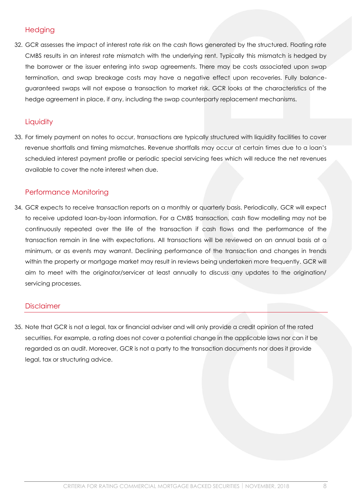# <span id="page-7-0"></span>**Hedging**

32. GCR assesses the impact of interest rate risk on the cash flows generated by the structured. Floating rate CMBS results in an interest rate mismatch with the underlying rent. Typically this mismatch is hedged by the borrower or the issuer entering into swap agreements. There may be costs associated upon swap termination, and swap breakage costs may have a negative effect upon recoveries. Fully balanceguaranteed swaps will not expose a transaction to market risk. GCR looks at the characteristics of the hedge agreement in place, if any, including the swap counterparty replacement mechanisms.

## <span id="page-7-1"></span>**Liquidity**

33. For timely payment on notes to occur, transactions are typically structured with liquidity facilities to cover revenue shortfalls and timing mismatches. Revenue shortfalls may occur at certain times due to a loan's scheduled interest payment profile or periodic special servicing fees which will reduce the net revenues available to cover the note interest when due.

## <span id="page-7-2"></span>Performance Monitoring

34. GCR expects to receive transaction reports on a monthly or quarterly basis. Periodically, GCR will expect to receive updated loan-by-loan information. For a CMBS transaction, cash flow modelling may not be continuously repeated over the life of the transaction if cash flows and the performance of the transaction remain in line with expectations. All transactions will be reviewed on an annual basis at a minimum, or as events may warrant. Declining performance of the transaction and changes in trends within the property or mortgage market may result in reviews being undertaken more frequently. GCR will aim to meet with the originator/servicer at least annually to discuss any updates to the origination/ servicing processes.

#### <span id="page-7-3"></span>**Disclaimer**

35. Note that GCR is not a legal, tax or financial adviser and will only provide a credit opinion of the rated securities. For example, a rating does not cover a potential change in the applicable laws nor can it be regarded as an audit. Moreover, GCR is not a party to the transaction documents nor does it provide legal, tax or structuring advice.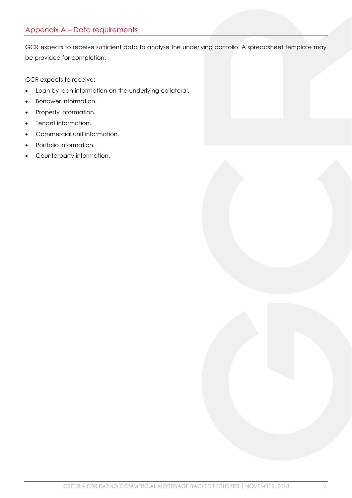# <span id="page-8-0"></span>Appendix A – Data requirements

GCR expects to receive sufficient data to analyse the underlying portfolio. A spreadsheet template may be provided for completion.

GCR expects to receive:

- Loan by loan information on the underlying collateral.
- Borrower information.
- Property information.
- Tenant information.
- Commercial unit information.
- Portfolio information.
- Counterparty information.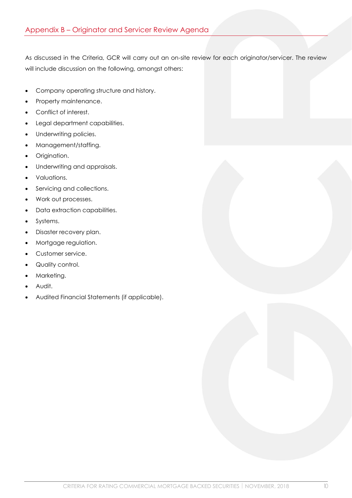<span id="page-9-0"></span>As discussed in the Criteria, GCR will carry out an on-site review for each originator/servicer. The review will include discussion on the following, amongst others:

- Company operating structure and history.
- Property maintenance.
- Conflict of interest.
- Legal department capabilities.
- Underwriting policies.
- Management/staffing.
- Origination.
- Underwriting and appraisals.
- Valuations.
- Servicing and collections.
- Work out processes.
- Data extraction capabilities.
- Systems.
- Disaster recovery plan.
- Mortgage regulation.
- Customer service.
- Quality control.
- Marketing.
- Audit.
- Audited Financial Statements (if applicable).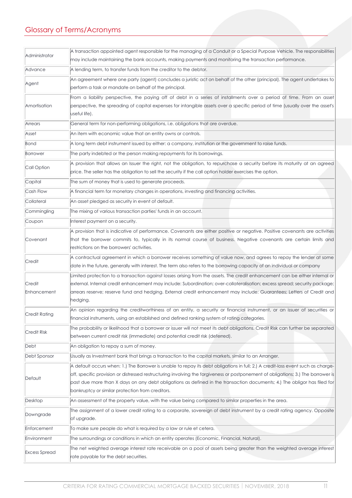# <span id="page-10-0"></span>Glossary of Terms/Acronyms

| Administrator        | A transaction appointed agent responsible for the managing of a Conduit or a Special Purpose Vehicle. The responsibilities        |
|----------------------|-----------------------------------------------------------------------------------------------------------------------------------|
|                      | may include maintaining the bank accounts, making payments and monitoring the transaction performance.                            |
| Advance              | A lending term, to transfer funds from the creditor to the debtor.                                                                |
| Agent                | An agreement where one party (agent) concludes a juristic act on behalf of the other (principal). The agent undertakes to         |
|                      | perform a task or mandate on behalf of the principal.                                                                             |
| Amortisation         | From a liability perspective, the paying off of debt in a series of installments over a period of time. From an asset             |
|                      | perspective, the spreading of capital expenses for intangible assets over a specific period of time (usually over the asset's     |
|                      | useful life).                                                                                                                     |
| Arrears              | General term for non-performing obligations, i.e. obligations that are overdue.                                                   |
| Asset                | An item with economic value that an entity owns or controls.                                                                      |
| Bond                 | A long term debt instrument issued by either: a company, institution or the government to raise funds.                            |
| Borrower             | The party indebted or the person making repayments for its borrowings.                                                            |
| Call Option          | A provision that allows an Issuer the right, not the obligation, to repurchase a security before its maturity at an agreed        |
|                      | price. The seller has the obligation to sell the security if the call option holder exercises the option.                         |
| Capital              | The sum of money that is used to generate proceeds.                                                                               |
| Cash Flow            | A financial term for monetary changes in operations, investing and financing activities.                                          |
| Collateral           | An asset pledged as security in event of default.                                                                                 |
| Commingling          | The mixing of various transaction parties' funds in an account.                                                                   |
| Coupon               | Interest payment on a security.                                                                                                   |
|                      | A provision that is indicative of performance. Covenants are either positive or negative. Positive covenants are activities       |
| Covenant             | that the borrower commits to, typically in its normal course of business. Negative covenants are certain limits and               |
|                      | restrictions on the borrowers' activities.                                                                                        |
| Credit               | A contractual agreement in which a borrower receives something of value now, and agrees to repay the lender at some               |
|                      | date in the future, generally with interest. The term also refers to the borrowing capacity of an individual or company           |
|                      | Limited protection to a transaction against losses arising from the assets. The credit enhancement can be either internal or      |
| Credit               | external. Internal credit enhancement may include: Subordination; over-collateralisation; excess spread; security package;        |
| Enhancement          | arrears reserve; reserve fund and hedging. External credit enhancement may include: Guarantees; Letters of Credit and             |
|                      | hedging.                                                                                                                          |
| Credit Rating        | An opinion regarding the creditworthiness of an entity, a security or financial instrument, or an issuer of securities or         |
|                      | financial instruments, using an established and defined ranking system of rating categories.                                      |
| <b>Credit Risk</b>   | The probability or likelihood that a borrower or issuer will not meet its debt obligations. Credit Risk can further be separated  |
|                      | between current credit risk (immediate) and potential credit risk (deferred).                                                     |
| Debt                 | An obligation to repay a sum of money.                                                                                            |
| Debt Sponsor         | Usually as Investment bank that brings a transaction to the capital markets, similar to an Arranger.                              |
|                      | A default occurs when: 1.) The Borrower is unable to repay its debt obligations in full; 2.) A credit-loss event such as charge-  |
| Default              | off, specific provision or distressed restructuring involving the forgiveness or postponement of obligations; 3.) The borrower is |
|                      | past due more than X days on any debt obligations as defined in the transaction documents; 4.) The obligor has filed for          |
|                      | bankruptcy or similar protection from creditors.                                                                                  |
| Desktop              | An assessment of the property value, with the value being compared to similar properties in the area.                             |
| Downgrade            | The assignment of a lower credit rating to a corporate, sovereign of debt instrument by a credit rating agency. Opposite          |
|                      | of upgrade.                                                                                                                       |
| Enforcement          | To make sure people do what is required by a law or rule et cetera.                                                               |
| Environment          | The surroundings or conditions in which an entity operates (Economic, Financial, Natural).                                        |
| <b>Excess Spread</b> | The net weighted average interest rate receivable on a pool of assets being greater than the weighted average interest            |
|                      | rate payable for the debt securities.                                                                                             |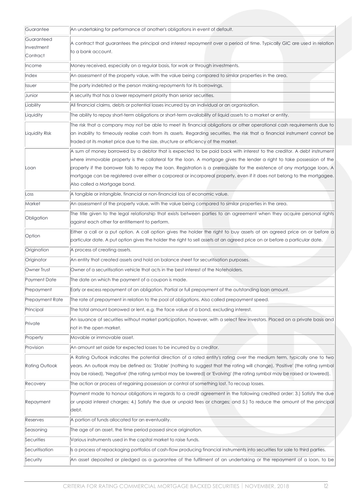| Guarantee              | An undertaking for performance of another's obligations in event of default.                                                                    |  |
|------------------------|-------------------------------------------------------------------------------------------------------------------------------------------------|--|
| Guaranteed             |                                                                                                                                                 |  |
| Investment             | A contract that guarantees the principal and interest repayment over a period of time. Typically GIC are used in relation<br>to a bank account. |  |
| Contract               |                                                                                                                                                 |  |
| Income                 | Money received, especially on a regular basis, for work or through investments.                                                                 |  |
| Index                  | An assessment of the property value, with the value being compared to similar properties in the area.                                           |  |
| Issuer                 | The party indebted or the person making repayments for its borrowings.                                                                          |  |
| Junior                 | A security that has a lower repayment priority than senior securities.                                                                          |  |
| Liability              | All financial claims, debts or potential losses incurred by an individual or an organisation.                                                   |  |
| Liquidity              | The ability to repay short-term obligations or short-term availability of liquid assets to a market or entity.                                  |  |
| Liquidity Risk         | The risk that a company may not be able to meet its financial obligations or other operational cash requirements due to                         |  |
|                        | an inability to timeously realise cash from its assets. Regarding securities, the risk that a financial instrument cannot be                    |  |
|                        | traded at its market price due to the size, structure or efficiency of the market.                                                              |  |
|                        | A sum of money borrowed by a debtor that is expected to be paid back with interest to the creditor. A debt instrument                           |  |
|                        | where immovable property is the collateral for the loan. A mortgage gives the lender a right to take possession of the                          |  |
| Loan                   | property if the borrower fails to repay the loan. Registration is a prerequisite for the existence of any mortgage loan. A                      |  |
|                        | mortgage can be registered over either a corporeal or incorporeal property, even if it does not belong to the mortgagee.                        |  |
|                        | Also called a Mortgage bond.                                                                                                                    |  |
| Loss                   | A tangible or intangible, financial or non-financial loss of economic value.                                                                    |  |
| Market                 | An assessment of the property value, with the value being compared to similar properties in the area.                                           |  |
| Obligation             | The title given to the legal relationship that exists between parties to an agreement when they acquire personal rights                         |  |
|                        | against each other for entitlement to perform.                                                                                                  |  |
| Option                 | Either a call or a put option. A call option gives the holder the right to buy assets at an agreed price on or before a                         |  |
|                        | particular date. A put option gives the holder the right to sell assets at an agreed price on or before a particular date.                      |  |
| Origination            | A process of creating assets.                                                                                                                   |  |
| Originator             | An entity that created assets and hold on balance sheet for securitisation purposes.                                                            |  |
| Owner Trust            | Owner of a securitisation vehicle that acts in the best interest of the Noteholders.                                                            |  |
| Payment Date           | The date on which the payment of a coupon is made.                                                                                              |  |
| Prepayment             | Early or excess repayment of an obligation. Partial or full prepayment of the outstanding loan amount.                                          |  |
| <b>Prepayment Rate</b> | The rate of prepayment in relation to the pool of obligations. Also called prepayment speed.                                                    |  |
| Principal              | The total amount borrowed or lent, e.g. the face value of a bond, excluding interest.                                                           |  |
|                        | An issuance of securities without market participation, however, with a select few investors. Placed on a private basis and                     |  |
| Private                | not in the open market.                                                                                                                         |  |
| Property               | Movable or immovable asset.                                                                                                                     |  |
| Provision              | An amount set aside for expected losses to be incurred by a creditor.                                                                           |  |
|                        | A Rating Outlook indicates the potential direction of a rated entity's rating over the medium term, typically one to two                        |  |
| Rating Outlook         | years. An outlook may be defined as: 'Stable' (nothing to suggest that the rating will change), 'Positive' (the rating symbol                   |  |
|                        | may be raised), 'Negative' (the rating symbol may be lowered) or 'Evolving' (the rating symbol may be raised or lowered).                       |  |
| Recovery               | The action or process of regaining possession or control of something lost. To recoup losses.                                                   |  |
|                        | Payment made to honour obligations in regards to a credit agreement in the following credited order: 3.) Satisfy the due                        |  |
| Repayment              | or unpaid interest charges; 4.) Satisfy the due or unpaid fees or charges; and 5.) To reduce the amount of the principal                        |  |
|                        | debt.                                                                                                                                           |  |
| Reserves               | A portion of funds allocated for an eventuality.                                                                                                |  |
| Seasoning              | The age of an asset, the time period passed since origination.                                                                                  |  |
| Securities             | Various instruments used in the capital market to raise funds.                                                                                  |  |
| Securitisation         | Is a process of repackaging portfolios of cash-flow producing financial instruments into securities for sale to third parties.                  |  |
| Security               | An asset deposited or pledged as a guarantee of the fulfilment of an undertaking or the repayment of a loan, to be                              |  |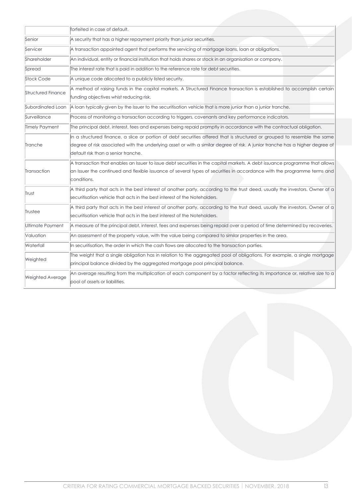|                           | forfeited in case of default.                                                                                                                                                                                                                                                                     |
|---------------------------|---------------------------------------------------------------------------------------------------------------------------------------------------------------------------------------------------------------------------------------------------------------------------------------------------|
| Senior                    | A security that has a higher repayment priority than junior securities.                                                                                                                                                                                                                           |
| Servicer                  | A transaction appointed agent that performs the servicing of mortgage loans, loan or obligations.                                                                                                                                                                                                 |
| Shareholder               | An individual, entity or financial institution that holds shares or stock in an organisation or company.                                                                                                                                                                                          |
| Spread                    | The interest rate that is paid in addition to the reference rate for debt securities.                                                                                                                                                                                                             |
| <b>Stock Code</b>         | A unique code allocated to a publicly listed security.                                                                                                                                                                                                                                            |
| <b>Structured Finance</b> | A method of raising funds in the capital markets. A Structured Finance transaction is established to accomplish certain<br>funding objectives whist reducing risk.                                                                                                                                |
| Subordinated Loan         | A loan typically given by the Issuer to the securitisation vehicle that is more junior than a junior tranche.                                                                                                                                                                                     |
| Surveillance              | Process of monitoring a transaction according to triggers, covenants and key performance indicators.                                                                                                                                                                                              |
| Timely Payment            | The principal debt, interest, fees and expenses being repaid promptly in accordance with the contractual obligation.                                                                                                                                                                              |
| Tranche                   | In a structured finance, a slice or portion of debt securities offered that is structured or grouped to resemble the same<br>degree of risk associated with the underlying asset or with a similar degree of risk. A junior tranche has a higher degree of<br>default risk than a senior tranche. |
| Transaction               | A transaction that enables an Issuer to issue debt securities in the capital markets. A debt issuance programme that allows<br>an Issuer the continued and flexible issuance of several types of securities in accordance with the programme terms and<br>conditions.                             |
| Trust                     | A third party that acts in the best interest of another party, according to the trust deed, usually the investors. Owner of a<br>securitisation vehicle that acts in the best interest of the Noteholders.                                                                                        |
| Trustee                   | A third party that acts in the best interest of another party, according to the trust deed, usually the investors. Owner of a<br>securitisation vehicle that acts in the best interest of the Noteholders.                                                                                        |
| Ultimate Payment          | A measure of the principal debt, interest, fees and expenses being repaid over a period of time determined by recoveries.                                                                                                                                                                         |
| Valuation                 | An assessment of the property value, with the value being compared to similar properties in the area.                                                                                                                                                                                             |
| Waterfall                 | In securitisation, the order in which the cash flows are allocated to the transaction parties.                                                                                                                                                                                                    |
| Weighted                  | The weight that a single obligation has in relation to the aggregated pool of obligations. For example, a single mortgage<br>principal balance divided by the aggregated mortgage pool principal balance.                                                                                         |
| <b>Weighted Average</b>   | An average resulting from the multiplication of each component by a factor reflecting its importance or, relative size to a<br>pool of assets or liabilities.                                                                                                                                     |